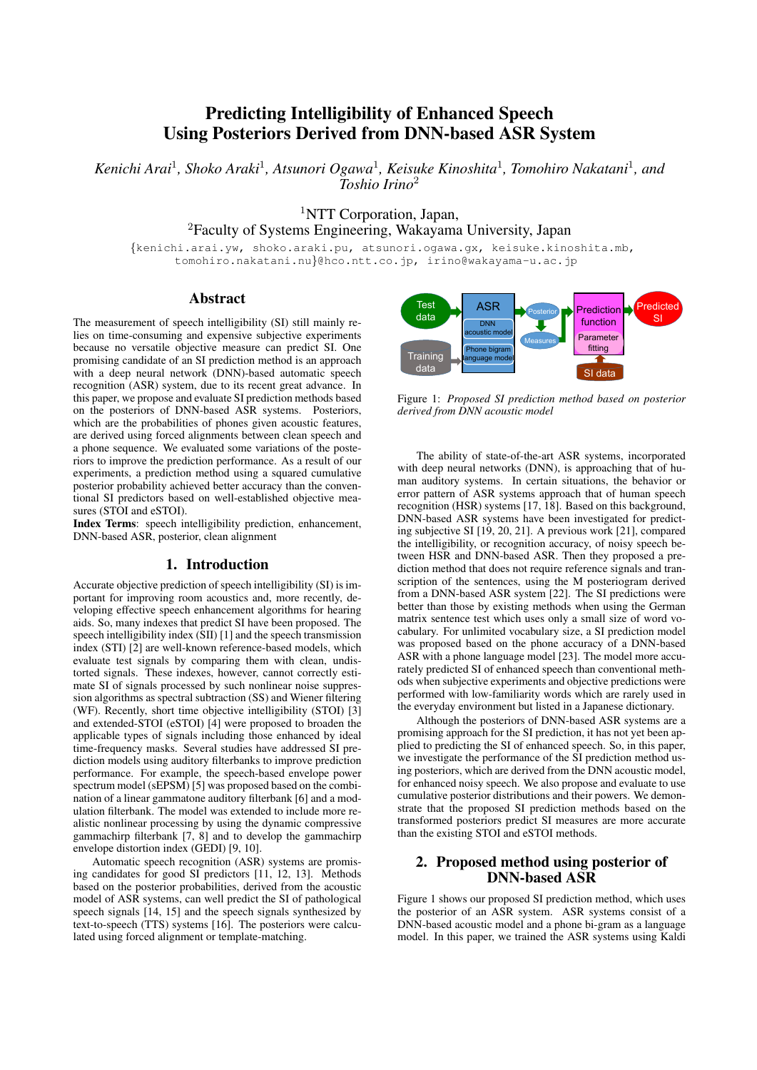# Predicting Intelligibility of Enhanced Speech Using Posteriors Derived from DNN-based ASR System

Kenichi Arai<sup>1</sup>, Shoko Araki<sup>1</sup>, Atsunori Ogawa<sup>1</sup>, Keisuke Kinoshita<sup>1</sup>, Tomohiro Nakatani<sup>1</sup>, and *Toshio Irino*<sup>2</sup>

<sup>1</sup>NTT Corporation, Japan,

<sup>2</sup>Faculty of Systems Engineering, Wakayama University, Japan

{kenichi.arai.yw, shoko.araki.pu, atsunori.ogawa.gx, keisuke.kinoshita.mb, tomohiro.nakatani.nu}@hco.ntt.co.jp, irino@wakayama-u.ac.jp

### Abstract

The measurement of speech intelligibility (SI) still mainly relies on time-consuming and expensive subjective experiments because no versatile objective measure can predict SI. One promising candidate of an SI prediction method is an approach with a deep neural network (DNN)-based automatic speech recognition (ASR) system, due to its recent great advance. In this paper, we propose and evaluate SI prediction methods based on the posteriors of DNN-based ASR systems. Posteriors, which are the probabilities of phones given acoustic features, are derived using forced alignments between clean speech and a phone sequence. We evaluated some variations of the posteriors to improve the prediction performance. As a result of our experiments, a prediction method using a squared cumulative posterior probability achieved better accuracy than the conventional SI predictors based on well-established objective measures (STOI and eSTOI).

Index Terms: speech intelligibility prediction, enhancement, DNN-based ASR, posterior, clean alignment

## 1. Introduction

Accurate objective prediction of speech intelligibility (SI) is important for improving room acoustics and, more recently, developing effective speech enhancement algorithms for hearing aids. So, many indexes that predict SI have been proposed. The speech intelligibility index (SII) [1] and the speech transmission index (STI) [2] are well-known reference-based models, which evaluate test signals by comparing them with clean, undistorted signals. These indexes, however, cannot correctly estimate SI of signals processed by such nonlinear noise suppression algorithms as spectral subtraction (SS) and Wiener filtering (WF). Recently, short time objective intelligibility (STOI) [3] and extended-STOI (eSTOI) [4] were proposed to broaden the applicable types of signals including those enhanced by ideal time-frequency masks. Several studies have addressed SI prediction models using auditory filterbanks to improve prediction performance. For example, the speech-based envelope power spectrum model (sEPSM) [5] was proposed based on the combination of a linear gammatone auditory filterbank [6] and a modulation filterbank. The model was extended to include more realistic nonlinear processing by using the dynamic compressive gammachirp filterbank [7, 8] and to develop the gammachirp envelope distortion index (GEDI) [9, 10].

Automatic speech recognition (ASR) systems are promising candidates for good SI predictors [11, 12, 13]. Methods based on the posterior probabilities, derived from the acoustic model of ASR systems, can well predict the SI of pathological speech signals [14, 15] and the speech signals synthesized by text-to-speech (TTS) systems [16]. The posteriors were calculated using forced alignment or template-matching.



Figure 1: *Proposed SI prediction method based on posterior derived from DNN acoustic model*

The ability of state-of-the-art ASR systems, incorporated with deep neural networks (DNN), is approaching that of human auditory systems. In certain situations, the behavior or error pattern of ASR systems approach that of human speech recognition (HSR) systems [17, 18]. Based on this background, DNN-based ASR systems have been investigated for predicting subjective SI [19, 20, 21]. A previous work [21], compared the intelligibility, or recognition accuracy, of noisy speech between HSR and DNN-based ASR. Then they proposed a prediction method that does not require reference signals and transcription of the sentences, using the M posteriogram derived from a DNN-based ASR system [22]. The SI predictions were better than those by existing methods when using the German matrix sentence test which uses only a small size of word vocabulary. For unlimited vocabulary size, a SI prediction model was proposed based on the phone accuracy of a DNN-based ASR with a phone language model [23]. The model more accurately predicted SI of enhanced speech than conventional methods when subjective experiments and objective predictions were performed with low-familiarity words which are rarely used in the everyday environment but listed in a Japanese dictionary.

Although the posteriors of DNN-based ASR systems are a promising approach for the SI prediction, it has not yet been applied to predicting the SI of enhanced speech. So, in this paper, we investigate the performance of the SI prediction method using posteriors, which are derived from the DNN acoustic model, for enhanced noisy speech. We also propose and evaluate to use cumulative posterior distributions and their powers. We demonstrate that the proposed SI prediction methods based on the transformed posteriors predict SI measures are more accurate than the existing STOI and eSTOI methods.

# 2. Proposed method using posterior of DNN-based ASR

Figure 1 shows our proposed SI prediction method, which uses the posterior of an ASR system. ASR systems consist of a DNN-based acoustic model and a phone bi-gram as a language model. In this paper, we trained the ASR systems using Kaldi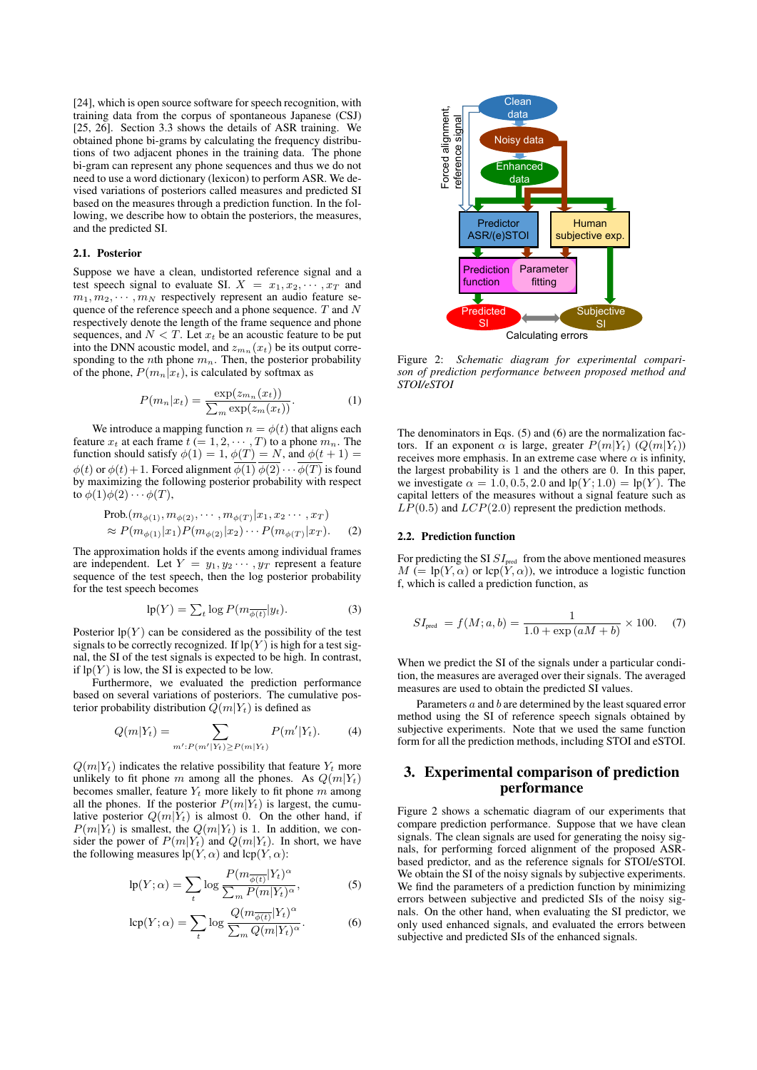[24], which is open source software for speech recognition, with training data from the corpus of spontaneous Japanese (CSJ) [25, 26]. Section 3.3 shows the details of ASR training. We obtained phone bi-grams by calculating the frequency distributions of two adjacent phones in the training data. The phone bi-gram can represent any phone sequences and thus we do not need to use a word dictionary (lexicon) to perform ASR. We devised variations of posteriors called measures and predicted SI based on the measures through a prediction function. In the following, we describe how to obtain the posteriors, the measures, and the predicted SI.

#### 2.1. Posterior

Suppose we have a clean, undistorted reference signal and a test speech signal to evaluate SI.  $X = x_1, x_2, \cdots, x_T$  and  $m_1, m_2, \cdots, m_N$  respectively represent an audio feature sequence of the reference speech and a phone sequence.  $T$  and  $N$ respectively denote the length of the frame sequence and phone sequences, and  $N < T$ . Let  $x_t$  be an acoustic feature to be put into the DNN acoustic model, and  $z_{m_n}(x_t)$  be its output corresponding to the *n*th phone  $m_n$ . Then, the posterior probability of the phone,  $P(m_n|x_t)$ , is calculated by softmax as

$$
P(m_n|x_t) = \frac{\exp(z_{m_n}(x_t))}{\sum_m \exp(z_m(x_t))}.
$$
 (1)

We introduce a mapping function  $n = \phi(t)$  that aligns each feature  $x_t$  at each frame  $t (= 1, 2, \cdots, T)$  to a phone  $m_n$ . The function should satisfy  $\phi(1) = 1$ ,  $\phi(T) = N$ , and  $\phi(t+1) =$  $\phi(t)$  or  $\phi(t)$  + 1. Forced alignment  $\overline{\phi(1)}$   $\overline{\phi(2)}$   $\cdots$   $\overline{\phi(T)}$  is found by maximizing the following posterior probability with respect to  $\phi(1)\phi(2)\cdots\phi(T)$ ,

Prob.(m<sub>\phi(1)</sub>, m<sub>\phi(2)</sub>, · · · , m<sub>\phi(T)</sub>|x<sub>1</sub>, x<sub>2</sub> · · · , x<sub>T</sub>)  
\n
$$
\approx P(m_{\phi(1)}|x_1)P(m_{\phi(2)}|x_2) \cdots P(m_{\phi(T)}|x_T).
$$
 (2)

The approximation holds if the events among individual frames are independent. Let  $Y = y_1, y_2 \cdots, y_T$  represent a feature sequence of the test speech, then the log posterior probability for the test speech becomes

$$
lp(Y) = \sum_{t} \log P(m_{\overline{\phi(t)}} | y_t).
$$
 (3)

Posterior  $lp(Y)$  can be considered as the possibility of the test signals to be correctly recognized. If  $lp(Y)$  is high for a test signal, the SI of the test signals is expected to be high. In contrast, if  $lp(Y)$  is low, the SI is expected to be low.

Furthermore, we evaluated the prediction performance based on several variations of posteriors. The cumulative posterior probability distribution  $Q(m|Y_t)$  is defined as

$$
Q(m|Y_t) = \sum_{m': P(m'|Y_t) \ge P(m|Y_t)} P(m'|Y_t). \tag{4}
$$

 $Q(m|Y_t)$  indicates the relative possibility that feature  $Y_t$  more unlikely to fit phone m among all the phones. As  $Q(m|Y_t)$ becomes smaller, feature  $Y_t$  more likely to fit phone m among all the phones. If the posterior  $P(m|Y_t)$  is largest, the cumulative posterior  $Q(m|Y_t)$  is almost 0. On the other hand, if  $P(m|Y_t)$  is smallest, the  $Q(m|Y_t)$  is 1. In addition, we consider the power of  $P(m|Y_t)$  and  $Q(m|Y_t)$ . In short, we have the following measures  $lp(Y, \alpha)$  and  $lcp(Y, \alpha)$ :

$$
lp(Y; \alpha) = \sum_{t} \log \frac{P(m_{\overline{\phi(t)}} | Y_t)^{\alpha}}{\sum_{m} P(m | Y_t)^{\alpha}},
$$
 (5)

$$
lcp(Y; \alpha) = \sum_{t} log \frac{Q(m_{\overline{\phi(t)}} | Y_t)^{\alpha}}{\sum_{m} Q(m | Y_t)^{\alpha}}.
$$
 (6)



Figure 2: *Schematic diagram for experimental comparison of prediction performance between proposed method and STOI/eSTOI*

The denominators in Eqs. (5) and (6) are the normalization factors. If an exponent  $\alpha$  is large, greater  $P(m|Y_t)$  ( $Q(m|Y_t)$ ) receives more emphasis. In an extreme case where  $\alpha$  is infinity, the largest probability is 1 and the others are 0. In this paper, we investigate  $\alpha = 1.0, 0.5, 2.0$  and  $lp(Y; 1.0) = lp(Y)$ . The capital letters of the measures without a signal feature such as  $LP(0.5)$  and  $LCP(2.0)$  represent the prediction methods.

### 2.2. Prediction function

For predicting the SI  $\mathcal{S}I_\text{pred}$  from the above mentioned measures  $M \stackrel{\text{\'e}}{=} \text{lp}(Y, \alpha)$  or  $\text{lep}(Y, \alpha)$ , we introduce a logistic function f, which is called a prediction function, as

$$
SI_{\text{pred}} = f(M; a, b) = \frac{1}{1.0 + \exp(aM + b)} \times 100. \tag{7}
$$

When we predict the SI of the signals under a particular condition, the measures are averaged over their signals. The averaged measures are used to obtain the predicted SI values.

Parameters a and b are determined by the least squared error method using the SI of reference speech signals obtained by subjective experiments. Note that we used the same function form for all the prediction methods, including STOI and eSTOI.

# 3. Experimental comparison of prediction performance

Figure 2 shows a schematic diagram of our experiments that compare prediction performance. Suppose that we have clean signals. The clean signals are used for generating the noisy signals, for performing forced alignment of the proposed ASRbased predictor, and as the reference signals for STOI/eSTOI. We obtain the SI of the noisy signals by subjective experiments. We find the parameters of a prediction function by minimizing errors between subjective and predicted SIs of the noisy signals. On the other hand, when evaluating the SI predictor, we only used enhanced signals, and evaluated the errors between subjective and predicted SIs of the enhanced signals.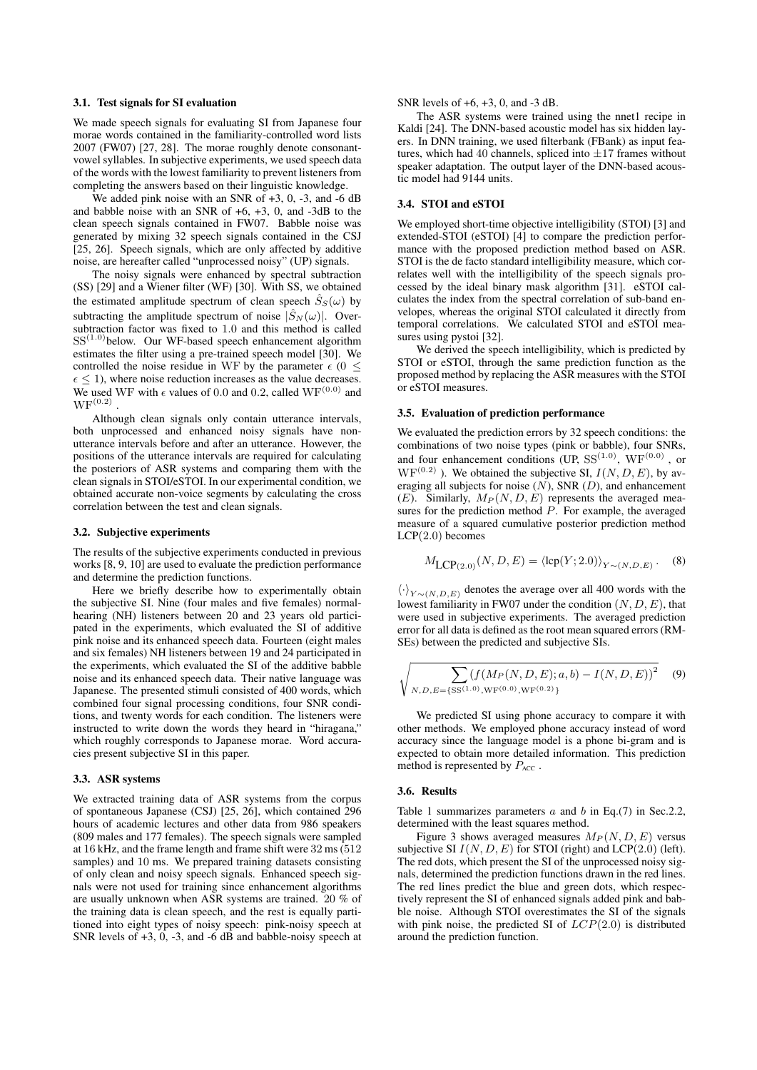#### 3.1. Test signals for SI evaluation

We made speech signals for evaluating SI from Japanese four morae words contained in the familiarity-controlled word lists 2007 (FW07) [27, 28]. The morae roughly denote consonantvowel syllables. In subjective experiments, we used speech data of the words with the lowest familiarity to prevent listeners from completing the answers based on their linguistic knowledge.

We added pink noise with an SNR of  $+3$ , 0,  $-3$ , and  $-6$  dB and babble noise with an SNR of  $+6$ ,  $+3$ , 0, and  $-3dB$  to the clean speech signals contained in FW07. Babble noise was generated by mixing 32 speech signals contained in the CSJ [25, 26]. Speech signals, which are only affected by additive noise, are hereafter called "unprocessed noisy" (UP) signals.

The noisy signals were enhanced by spectral subtraction (SS) [29] and a Wiener filter (WF) [30]. With SS, we obtained the estimated amplitude spectrum of clean speech  $\hat{S}_{S}(\omega)$  by subtracting the amplitude spectrum of noise  $|\hat{S}_N(\omega)|$ . Oversubtraction factor was fixed to 1.0 and this method is called  $SS<sup>(1.0)</sup>$  below. Our WF-based speech enhancement algorithm estimates the filter using a pre-trained speech model [30]. We controlled the noise residue in WF by the parameter  $\epsilon$  (0  $\leq$  $\epsilon \leq 1$ ), where noise reduction increases as the value decreases. We used WF with  $\epsilon$  values of 0.0 and 0.2, called WF<sup>(0.0)</sup> and  ${\rm WF}^{(0.2)}$  .

Although clean signals only contain utterance intervals, both unprocessed and enhanced noisy signals have nonutterance intervals before and after an utterance. However, the positions of the utterance intervals are required for calculating the posteriors of ASR systems and comparing them with the clean signals in STOI/eSTOI. In our experimental condition, we obtained accurate non-voice segments by calculating the cross correlation between the test and clean signals.

#### 3.2. Subjective experiments

The results of the subjective experiments conducted in previous works [8, 9, 10] are used to evaluate the prediction performance and determine the prediction functions.

Here we briefly describe how to experimentally obtain the subjective SI. Nine (four males and five females) normalhearing (NH) listeners between 20 and 23 years old participated in the experiments, which evaluated the SI of additive pink noise and its enhanced speech data. Fourteen (eight males and six females) NH listeners between 19 and 24 participated in the experiments, which evaluated the SI of the additive babble noise and its enhanced speech data. Their native language was Japanese. The presented stimuli consisted of 400 words, which combined four signal processing conditions, four SNR conditions, and twenty words for each condition. The listeners were instructed to write down the words they heard in "hiragana," which roughly corresponds to Japanese morae. Word accuracies present subjective SI in this paper.

#### 3.3. ASR systems

We extracted training data of ASR systems from the corpus of spontaneous Japanese (CSJ) [25, 26], which contained 296 hours of academic lectures and other data from 986 speakers (809 males and 177 females). The speech signals were sampled at 16 kHz, and the frame length and frame shift were 32 ms (512 samples) and 10 ms. We prepared training datasets consisting of only clean and noisy speech signals. Enhanced speech signals were not used for training since enhancement algorithms are usually unknown when ASR systems are trained. 20 % of the training data is clean speech, and the rest is equally partitioned into eight types of noisy speech: pink-noisy speech at SNR levels of  $+3$ , 0, -3, and -6 dB and babble-noisy speech at

### SNR levels of +6, +3, 0, and -3 dB.

The ASR systems were trained using the nnet1 recipe in Kaldi [24]. The DNN-based acoustic model has six hidden layers. In DNN training, we used filterbank (FBank) as input features, which had 40 channels, spliced into  $\pm 17$  frames without speaker adaptation. The output layer of the DNN-based acoustic model had 9144 units.

#### 3.4. STOI and eSTOI

We employed short-time objective intelligibility (STOI) [3] and extended-STOI (eSTOI) [4] to compare the prediction performance with the proposed prediction method based on ASR. STOI is the de facto standard intelligibility measure, which correlates well with the intelligibility of the speech signals processed by the ideal binary mask algorithm [31]. eSTOI calculates the index from the spectral correlation of sub-band envelopes, whereas the original STOI calculated it directly from temporal correlations. We calculated STOI and eSTOI measures using pystoi [32].

We derived the speech intelligibility, which is predicted by STOI or eSTOI, through the same prediction function as the proposed method by replacing the ASR measures with the STOI or eSTOI measures.

#### 3.5. Evaluation of prediction performance

We evaluated the prediction errors by 32 speech conditions: the combinations of two noise types (pink or babble), four SNRs, and four enhancement conditions (UP,  $SS^{(1.0)}$ , WF $^{(0.0)}$ , or  $WF^{(0.2)}$ ). We obtained the subjective SI,  $I(N, D, E)$ , by averaging all subjects for noise  $(N)$ , SNR  $(D)$ , and enhancement  $(E)$ . Similarly,  $M_P(N, D, E)$  represents the averaged measures for the prediction method  $\overline{P}$ . For example, the averaged measure of a squared cumulative posterior prediction method  $LCP(2.0)$  becomes

$$
M_{\text{LCP}(2.0)}(N, D, E) = \langle \text{lcp}(Y; 2.0) \rangle_{Y \sim (N, D, E)}.
$$
 (8)

 $\langle \cdot \rangle_{Y \sim (N,D,E)}$  denotes the average over all 400 words with the lowest familiarity in FW07 under the condition  $(N, D, E)$ , that were used in subjective experiments. The averaged prediction error for all data is defined as the root mean squared errors (RM-SEs) between the predicted and subjective SIs.

$$
\sqrt{\sum_{N,D,E=\{SS^{(1.0)},WF^{(0.0)},WF^{(0.2)}\}} (f(M_P(N, D, E); a, b) - I(N, D, E))^2}
$$
(9)

We predicted SI using phone accuracy to compare it with other methods. We employed phone accuracy instead of word accuracy since the language model is a phone bi-gram and is expected to obtain more detailed information. This prediction method is represented by  $P_{\text{ACC}}$ .

#### 3.6. Results

Table 1 summarizes parameters  $a$  and  $b$  in Eq.(7) in Sec.2.2, determined with the least squares method.

Figure 3 shows averaged measures  $M_P(N, D, E)$  versus subjective SI  $I(N, D, E)$  for STOI (right) and LCP(2.0) (left). The red dots, which present the SI of the unprocessed noisy signals, determined the prediction functions drawn in the red lines. The red lines predict the blue and green dots, which respectively represent the SI of enhanced signals added pink and babble noise. Although STOI overestimates the SI of the signals with pink noise, the predicted SI of  $LCP(2.0)$  is distributed around the prediction function.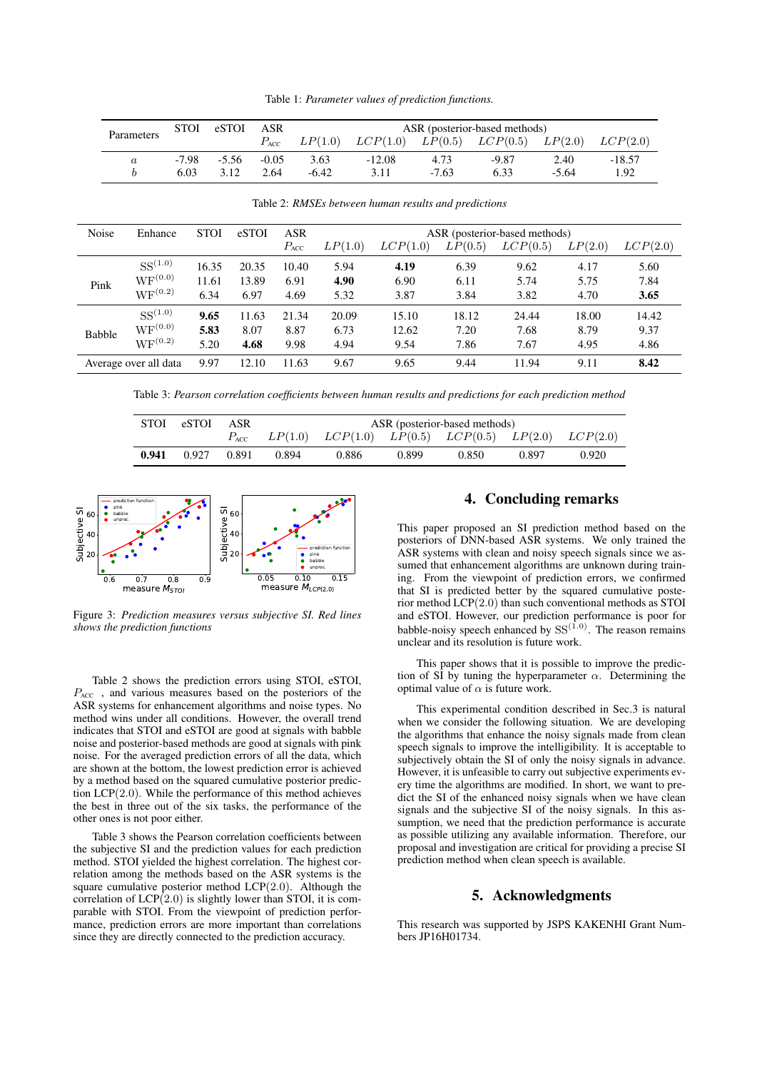Table 1: *Parameter values of prediction functions.*

| Parameters | <b>STOI</b> | eSTOI ASR |         | ASR (posterior-based methods) |          |         |                                                                                 |         |          |  |
|------------|-------------|-----------|---------|-------------------------------|----------|---------|---------------------------------------------------------------------------------|---------|----------|--|
|            |             |           |         |                               |          |         | $P_{\text{ACC}}$ $LP(1.0)$ $LCP(1.0)$ $LP(0.5)$ $LCP(0.5)$ $LP(2.0)$ $LCP(2.0)$ |         |          |  |
|            | -7.98       | $-5.56$   | $-0.05$ | 3.63                          | $-12.08$ | 4.73    | -9.87                                                                           | 2.40    | $-18.57$ |  |
|            | 6.03        | 3.12      | 2.64    | -6.42                         | 3.11     | $-7.63$ | 6.33                                                                            | $-5.64$ | 1.92     |  |

| Noise                 | Enhance            | <b>STOI</b> | eSTOI | <b>ASR</b><br>$P_{\text{ACC}}$ | LP(1.0) | LCP(1.0) | LP(0.5) | ASR (posterior-based methods)<br>LCP(0.5) | LP(2.0) | LCP(2.0) |
|-----------------------|--------------------|-------------|-------|--------------------------------|---------|----------|---------|-------------------------------------------|---------|----------|
| Pink                  | $SS^{(1.0)}$       | 16.35       | 20.35 | 10.40                          | 5.94    | 4.19     | 6.39    | 9.62                                      | 4.17    | 5.60     |
|                       | $WF^{(0.0)}$       | 11.61       | 13.89 | 6.91                           | 4.90    | 6.90     | 6.11    | 5.74                                      | 5.75    | 7.84     |
|                       | ${\rm WF}^{(0.2)}$ | 6.34        | 6.97  | 4.69                           | 5.32    | 3.87     | 3.84    | 3.82                                      | 4.70    | 3.65     |
| <b>Babble</b>         | $SS^{(1.0)}$       | 9.65        | 11.63 | 21.34                          | 20.09   | 15.10    | 18.12   | 24.44                                     | 18.00   | 14.42    |
|                       | $WF^{(0.0)}$       | 5.83        | 8.07  | 8.87                           | 6.73    | 12.62    | 7.20    | 7.68                                      | 8.79    | 9.37     |
|                       | $WF^{(0.2)}$       | 5.20        | 4.68  | 9.98                           | 4.94    | 9.54     | 7.86    | 7.67                                      | 4.95    | 4.86     |
| Average over all data |                    | 9.97        | 12.10 | 11.63                          | 9.67    | 9.65     | 9.44    | 11.94                                     | 9.11    | 8.42     |

Table 2: *RMSEs between human results and predictions*

Table 3: *Pearson correlation coefficients between human results and predictions for each prediction method*

| STOI  | eSTOI | ASR   | ASR (posterior-based methods) |                                                                                 |       |       |       |       |  |
|-------|-------|-------|-------------------------------|---------------------------------------------------------------------------------|-------|-------|-------|-------|--|
|       |       |       |                               | $P_{\text{ACC}}$ $LP(1.0)$ $LCP(1.0)$ $LP(0.5)$ $LCP(0.5)$ $LP(2.0)$ $LCP(2.0)$ |       |       |       |       |  |
| 0.941 | 0.927 | 0.891 | 0.894                         | 0.886                                                                           | 0.899 | 0.850 | 0.897 | 0.920 |  |



Figure 3: *Prediction measures versus subjective SI. Red lines shows the prediction functions*

Table 2 shows the prediction errors using STOI, eSTOI,  $P_{\text{ACC}}$ , and various measures based on the posteriors of the ASR systems for enhancement algorithms and noise types. No method wins under all conditions. However, the overall trend indicates that STOI and eSTOI are good at signals with babble noise and posterior-based methods are good at signals with pink noise. For the averaged prediction errors of all the data, which are shown at the bottom, the lowest prediction error is achieved by a method based on the squared cumulative posterior prediction  $LCP(2.0)$ . While the performance of this method achieves the best in three out of the six tasks, the performance of the other ones is not poor either.

Table 3 shows the Pearson correlation coefficients between the subjective SI and the prediction values for each prediction method. STOI yielded the highest correlation. The highest correlation among the methods based on the ASR systems is the square cumulative posterior method  $LCP(2.0)$ . Although the correlation of  $LCP(2.0)$  is slightly lower than STOI, it is comparable with STOI. From the viewpoint of prediction performance, prediction errors are more important than correlations since they are directly connected to the prediction accuracy.

# 4. Concluding remarks

This paper proposed an SI prediction method based on the posteriors of DNN-based ASR systems. We only trained the ASR systems with clean and noisy speech signals since we assumed that enhancement algorithms are unknown during training. From the viewpoint of prediction errors, we confirmed that SI is predicted better by the squared cumulative posterior method LCP(2.0) than such conventional methods as STOI and eSTOI. However, our prediction performance is poor for babble-noisy speech enhanced by  $SS^{(1.0)}$ . The reason remains unclear and its resolution is future work.

This paper shows that it is possible to improve the prediction of SI by tuning the hyperparameter  $\alpha$ . Determining the optimal value of  $\alpha$  is future work.

This experimental condition described in Sec.3 is natural when we consider the following situation. We are developing the algorithms that enhance the noisy signals made from clean speech signals to improve the intelligibility. It is acceptable to subjectively obtain the SI of only the noisy signals in advance. However, it is unfeasible to carry out subjective experiments every time the algorithms are modified. In short, we want to predict the SI of the enhanced noisy signals when we have clean signals and the subjective SI of the noisy signals. In this assumption, we need that the prediction performance is accurate as possible utilizing any available information. Therefore, our proposal and investigation are critical for providing a precise SI prediction method when clean speech is available.

# 5. Acknowledgments

This research was supported by JSPS KAKENHI Grant Numbers JP16H01734.